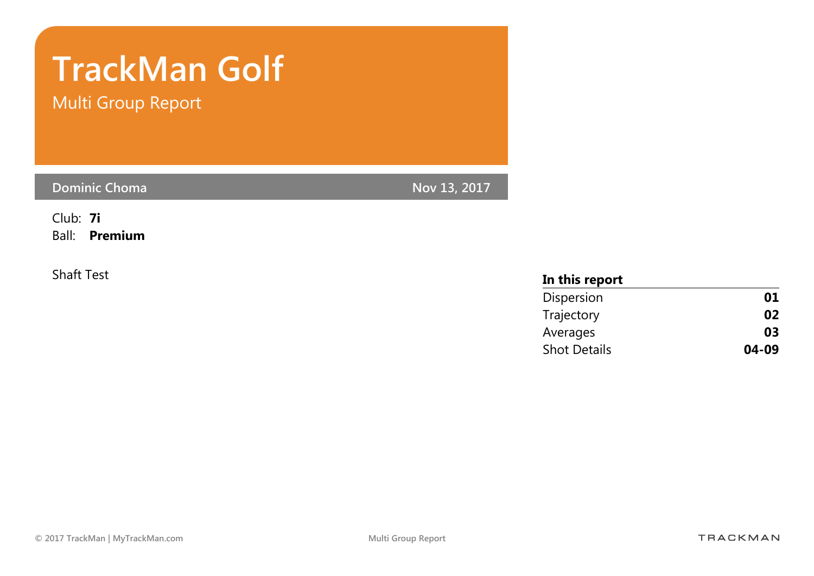# TrackMan Golf

Multi Group Report

Dominic Choma Nov 13, 2017

Club: 7i Ball: Premium

#### Shaft Test **In this report** Dispersion **01** Trajectory 02 Averages **03** Shot Details **04-09**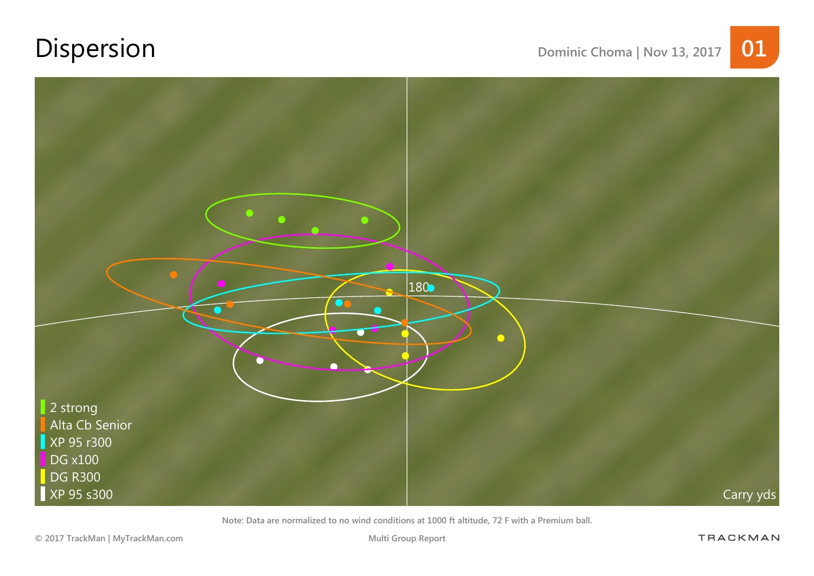## Dispersion Dominic Choma | Nov 13, 2017 01



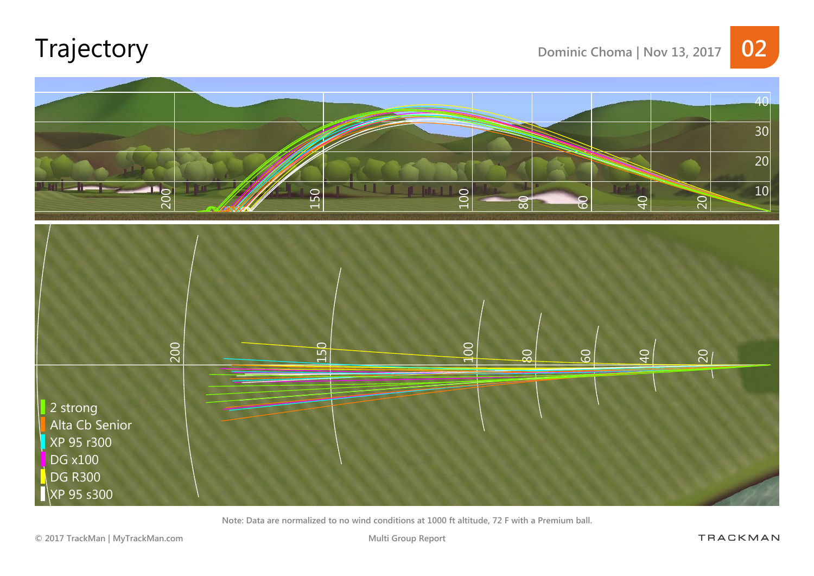## Trajectory Dominic Choma | Nov 13, 2017 02



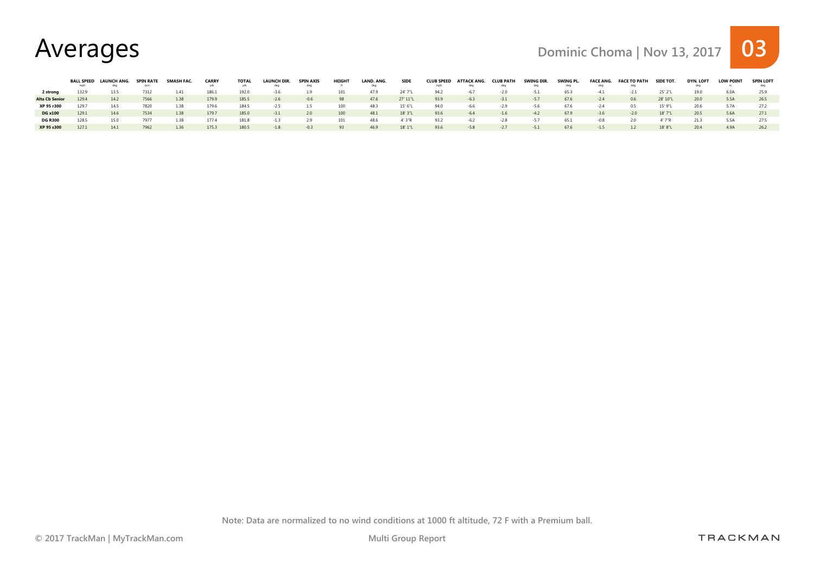#### Averages Dominic Choma | Nov 13, 2017 03

|                       |       | BALL SPEED LAUNCH ANG. |      | <b>SMASH FAC</b> | <b>CARRY</b> | TOTAL | LAUNCH DIR. | <b>SPIN AXIS</b> | <b>HEIGHT</b> | LAND, ANG. | <b>SIDE</b> |      | CLUB SPEED ATTACK ANG. | <b>CLUB PATH</b> | SWING DIR. | SWING PL. | <b>FACE ANG.</b> | <b>FACE TO PATH</b> | <b>SIDE TOT.</b> | <b>DYN. LOFT</b> | <b>LOW POINT</b> | <b>SPIN LOFT</b> |
|-----------------------|-------|------------------------|------|------------------|--------------|-------|-------------|------------------|---------------|------------|-------------|------|------------------------|------------------|------------|-----------|------------------|---------------------|------------------|------------------|------------------|------------------|
|                       | mph   | dea                    | rom  |                  |              |       | deg         | dea              |               |            |             | mph  | deg                    | dea              | deg        | deg       | deg              |                     |                  |                  |                  |                  |
| 2 strong              | 132.9 |                        | 7312 | 1.41             |              | 192.0 | $-3.6$      | 1.9              | 101           | 47.9       | 24' 7"L     | 94.2 | $-6.7$                 | $-2.0$           | $-5.1$     | 65.3      | $-4.1$           | $-2.1$              | 25' 2"L          | 19.0             |                  |                  |
| <b>Alta Cb Senior</b> | 129.4 | 14.2                   | 7566 | 1.38             | 179.9        | 185.5 | $-2.6$      | $-0.6$           | 98            | 47.6       | 27' 11"L    | 93.9 | $-6.3$                 | $-3.1$           | $-5.7$     | 67.6      | $-2.4$           | 0.6                 | 28' 10"L         | 20.0             | 5.5A             | 26.5             |
| XP 95 r300            | 1297  |                        | 7820 | 1.38             |              | 184.5 | $-2.5$      | 1.5              | 100           | 48.3       | 15' 6"L     | 94.0 | -6.6                   | $-2.9$           | $-5.6$     | 67.6      | $-2.4$           | 0.5                 | 15' 9"L          |                  | 5.7A             |                  |
| <b>DG x100</b>        | 129.1 | 14.6                   | 7534 | 1.38             | 179.7        | 185.0 | $-3.1$      | 2.0              | 100           | 48.1       | 18' 3"L     | 93.6 | $-6.4$                 | $-1.6$           | $-4.2$     | 67.9      | $-3.6$           | $-2.0$              | 18'7"L           | 20.5             | 5.6A             |                  |
| <b>DG R300</b>        | 128.5 | 15.0                   | 7977 | 1.38             | 177.4        | 181.8 | $-1.3$      | 2.9              | 101           | 48.6       | 4' 3"R      | 93.2 | $-6.2$                 | $-2.8$           | $-5.7$     | 65.1      | $-0.8$           | 2.0                 | 4' 7"R           | 21.3             | 5.5A             | 27.5             |
| XP 95 s300            | 1271  |                        | 7962 | 1.36             | 175.3        | 180.5 | $-1.8$      | $-0.3$           | 93            | 46.9       | 18'1''      | 93.6 | $-5.8$                 | $-2.7$           | $-5.1$     | 67.6      | $-1.5$           | 1.2                 | 18' 8"L          | 20.4             | 4 9 A            | 26.2             |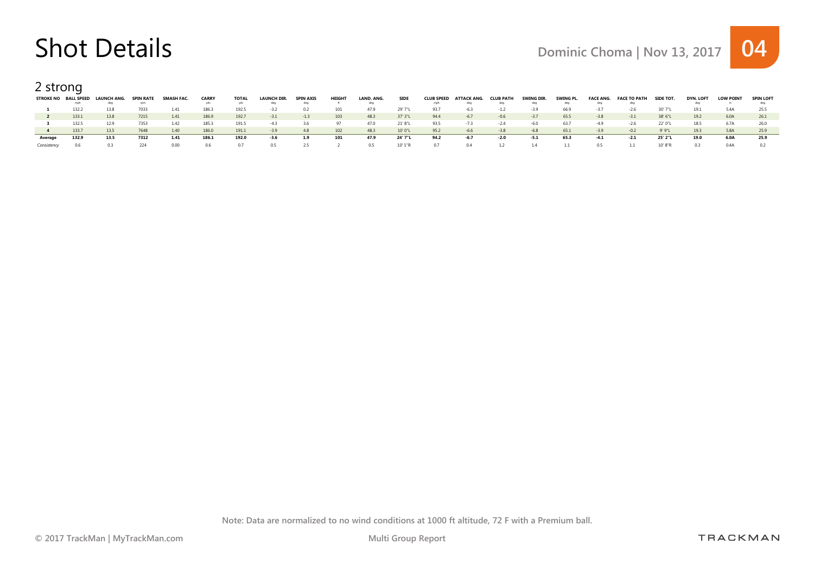2 strong

|         | STROKE NO BALL SPEED |       | LAUNCH ANG. | <b>SPIN RATE</b> | SMASH FAC | <b>CARRY</b> | <b>TOTAL</b> | LAUNCH DIR. | <b>SPIN AXIS</b> | <b>HEIGHT</b> | LAND. ANG. | <b>SIDE</b> | <b>CLUB SPEED</b> | ATTACK ANG. | <b>CLUB PATH</b> | SWING DIR. | SWING PL. | <b>FACE ANG.</b> | <b>FACE TO PATH</b> | <b>SIDE TOT.</b> | DYN. LOFT | <b>LOW POINT</b> | <b>SPIN LOFT</b> |
|---------|----------------------|-------|-------------|------------------|-----------|--------------|--------------|-------------|------------------|---------------|------------|-------------|-------------------|-------------|------------------|------------|-----------|------------------|---------------------|------------------|-----------|------------------|------------------|
|         |                      | mph   |             |                  |           |              | vds          |             | dec              |               |            |             | mph               | dea         | dea              |            |           | dea              |                     |                  |           |                  |                  |
|         |                      | 132.2 | 13.8        | 7033             | 1.41      | 186.3        | 192.5        | $-3.2$      | 0.2              |               | 47.9       | 29' 7"L     | 93.7              | $-6.3$      | $-1.2$           | $-3.9$     | 66.9      | $-3.7$           | $-2.6$              | 30' 7"L          | 19.1      | 5.4A             |                  |
|         |                      | 133.1 | 13.8        | 7215             | 1.41      | 186.9        | 192.7        | $-3.1$      | $-1.3$           | 103           | 48.3       | 37' 3"L     | 94.4              | $-6.7$      | $-0.6$           | $-3.7$     | 65.5      | $-3.8$           | $-3.1$              | 38' 6"L          | 19.2      | 6.0A             |                  |
|         |                      | 132.5 | 12.9        | 7353             | 1.42      | 185.3        | 191.5        | $-4.3$      | 3.6              | -97           | 47.0       | 21' 8"L     | 93.5              | $-7.3$      | $-2.4$           | $-6.0$     | 63.7      | $-4.9$           | $-2.6$              | 22' 0"L          | 18.5      | 6.7A             |                  |
|         |                      | 133.7 | 13.5        | 7648             | 1.40      | 186.0        | 191.1        | $-3.9$      | 4.8              | 102           | 48.3       | 10' 0"L     | 95.2              | $-6.6$      | $-3.8$           | $-6.8$     | 65.1      | $-3.9$           | $-0.2$              | 9'9"L            | 19.3      | 5.8A             | 25.9             |
| Average |                      | 132.9 | 13.5        | 7312             | 1.41      | 186.1        | 192.0        | -3.6        | 1.9              | 101           | 47.9       | 24' 7"L     | 94.2              | $-6.7$      | -2.0             | -5.1       | 65.3      | $-4.1$           | $-2.1$              | 25' 2"L          | 19.0      | 6.0A             | 25.9             |
|         |                      |       |             |                  | 0.00      |              |              |             |                  |               |            | 10'1"R      |                   |             |                  |            |           |                  |                     | 10' 8"F          |           |                  |                  |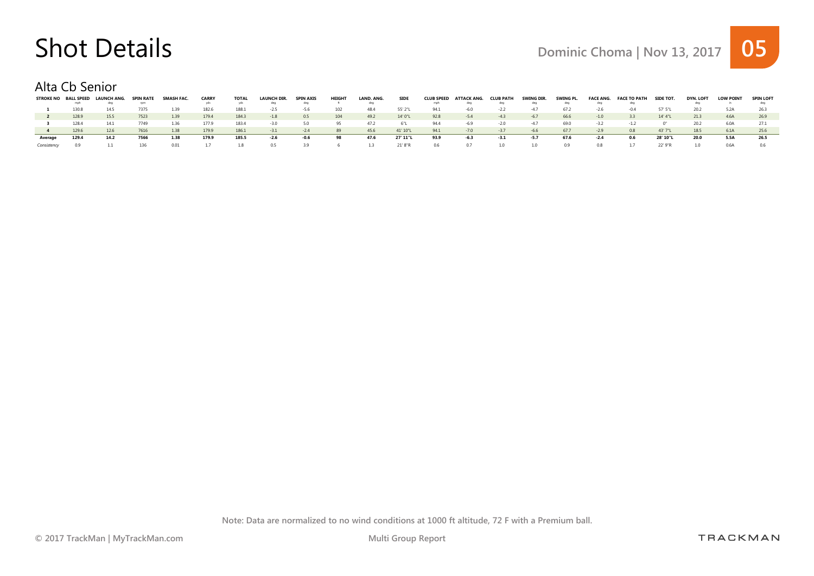#### Alta Cb Senior

|             | <b>STROKE NO BALL SPEED</b><br>mph | LAUNCH ANG.<br>dea | <b>SPIN RATE</b><br><b>FDIT</b> | SMASH FAC | <b>CARRY</b> | <b>TOTAL</b><br>vds | LAUNCH DIR. | <b>SPIN AXIS</b><br>dec | <b>HEIGH</b> | LAND. ANG.<br>dea | <b>SIDE</b>  | <b>CLUB SPEED</b><br>mph | ATTACK ANG.<br>dea | <b>CLUB PATH</b><br>dea | SWING DIR.<br>dea | SWING PL. | <b>FACE ANG.</b><br>dec | <b>FACE TO PATH</b> | <b>SIDE TOT.</b> | <b>DYN. LOFT</b> | <b>LOW POINT</b> | <b>SPIN LOFT</b> |
|-------------|------------------------------------|--------------------|---------------------------------|-----------|--------------|---------------------|-------------|-------------------------|--------------|-------------------|--------------|--------------------------|--------------------|-------------------------|-------------------|-----------|-------------------------|---------------------|------------------|------------------|------------------|------------------|
|             |                                    |                    |                                 |           | 182.6        |                     |             |                         |              |                   |              |                          |                    |                         | $-47$             | 672       |                         |                     | 57' 5"1          |                  |                  |                  |
|             | 130.8                              | 14.5               | 7375                            | 1.39      |              | 188.1               | $-2.5$      | $-5.6$                  |              | 48.4              | 55' 2"L      | 94.1                     | $-6.0$             | $-2.2$                  |                   |           | $-2.6$                  | $-0.4$              |                  | 20.2             |                  |                  |
|             | 128.9                              | 15.5               | 7523                            | 1.39      | 179.4        | 184.3               | $-1.8$      | 0.5                     | 104          | 49.2              | 14' 0"L      | 92.8                     | $-5.4$             | $-4.3$                  | $-6.7$            | 66.6      | $-1.0$                  | 3.3                 | 14' 4"L          | 21.3             | 4.6A             | 26.9             |
|             | 128.4                              | 14.1               | 7749                            | 1.36      | 177.9        | 183.4               | $-3.0$      | 5.0                     | 95           | 47.2              |              | 94.4                     | $-6.9$             | $-2.0$                  | $-4.7$            | 69.0      | $-3.2$                  |                     |                  | 20.2             | 6.0A             | 27.1             |
|             | 129.6                              | 12.6               | 7616                            | 1.38      | 179.9        | 186.1               | $-3.1$      | $-24$                   | 89           | 45.6              | 41' 10"L     | 94.1                     | $-7.0$             | $-3.7$                  | $-6.6$            | 67.7      | $-2.9$                  | 0.8                 | 43' 7"L          | 18.5             | 6.1A             |                  |
| Average     | 129.4                              | 14.2               | 7566                            | 1.38      | 179.9        | 185.5               | -2.6        | -0.6                    | 98           | 47.6              | 27' 11"L     | 93.9                     | $-6.3$             |                         | $-5.7$            | 67.6      | $-2.4$                  | 0.6                 | 28' 10"L         | 20.0             | 5.5A             | 26.5             |
| Consistency |                                    |                    |                                 |           |              |                     |             |                         |              |                   | $21'$ $8"$ R |                          |                    |                         |                   |           |                         |                     |                  |                  | በ 6Δ             |                  |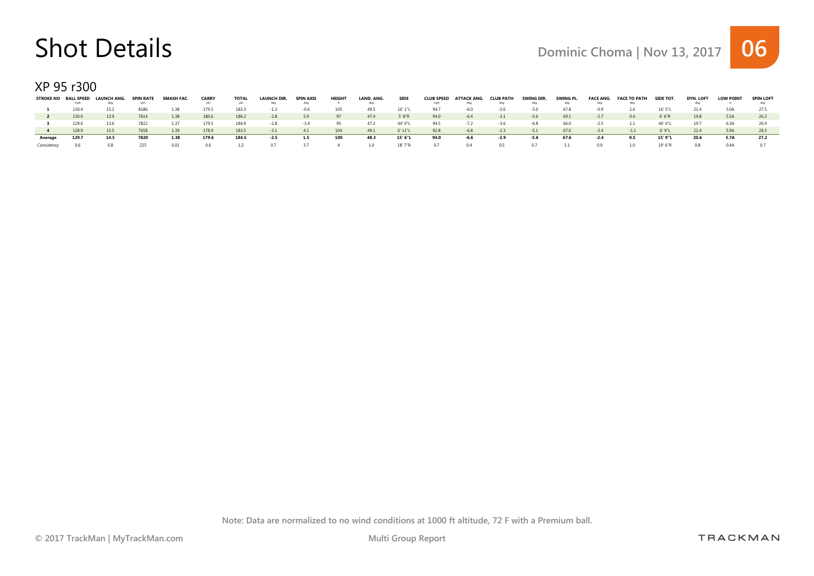XP 95 r300

|             | <b>STROKE NO BALL SPEED</b><br>mph | LAUNCH ANG.<br>dec | <b>SPIN RATE</b><br>rpm | SMASH FAC | <b>CARRY</b> | <b>TOTAL</b><br>vds | <b>LAUNCH DIR.</b> | <b>SPIN AXIS</b><br>dec | <b>HEIGHT</b> | LAND. ANG.<br>dea | <b>SIDE</b> | <b>CLUB SPEED</b><br>mph | ATTACK ANG.<br>dea | <b>CLUB PATH</b><br>dea | SWING DIR.<br>dea | SWING PL. | <b>FACE ANG.</b><br>dea | <b>FACE TO PATH</b> | SIDE TO L | DYN. LOFT | <b>LOW POINT</b> | <b>SPIN LOFT</b> |
|-------------|------------------------------------|--------------------|-------------------------|-----------|--------------|---------------------|--------------------|-------------------------|---------------|-------------------|-------------|--------------------------|--------------------|-------------------------|-------------------|-----------|-------------------------|---------------------|-----------|-----------|------------------|------------------|
|             | 130.4                              | 15.1               | 8186                    | 1.38      | 179.5        | 183.3               | $-1.3$             | -0.6                    |               | 49.5              | 16' 1"L     | 94.7                     | $-6.0$             | $-2.6$                  | $-5.0$            | 678       | $-0.9$                  | $1.6\phantom{0}$    | 16' 5"L   | 21.4      | 5.0A             | 27.5             |
|             | 130.0                              | 13.9               | 7614                    | 1.38      | 180.6        | 186.2               | $-2.8$             | 5.9                     | 97            | 47.4              | 5' 8"R      | 94.0                     | $-6.4$             | $-3.1$                  | $-5.6$            | 69.1      | $-2.7$                  | 0.4                 | 6'6''R    | 19.8      | 5.5A             | 26.3             |
|             | 129.6                              | 13.6               | 7822                    | 1.37      | 179.5        | 184.9               | $-2.8$             | $-34$                   | 95            | 47.2              | 44' 9"L     | 94.5                     | $-7.2$             | $-3.6$                  | $-6.8$            | 66.0      | $-2.5$                  |                     | 46' 6"L   | 19.7      | 6.3A             |                  |
|             | 1289                               | 15.5               | 7658                    | 1.39      | 178.9        | 183.5               | $-3.1$             | 4.1                     | 104           | 49.1              | 6' 11"L     | 92.8                     | $-6.8$             | $-2.3$                  | $-5.1$            | 67.6      | $-3.4$                  | $-1.1$              | 6'9"L     | 21.4      | 5.9A             | 28.3             |
| Average     | 129.7                              | 14.5               | 7820                    | 1.38      | 179.6        | 184.5               | -2.5               | 1.5                     | 100           | 48.3              | 15' 6"L     | 94.0                     | -6.6               | -2.9                    | -5.6              | 67.6      | $-2.4$                  | 0.5                 | 15' 9"I   | 20.6      | 5.7A             | 27.2             |
| Consistency |                                    |                    |                         |           |              |                     |                    |                         |               |                   | $18'$ $7"R$ |                          |                    |                         |                   |           |                         |                     | 19' 6"F   | 0.8       | N Δ              |                  |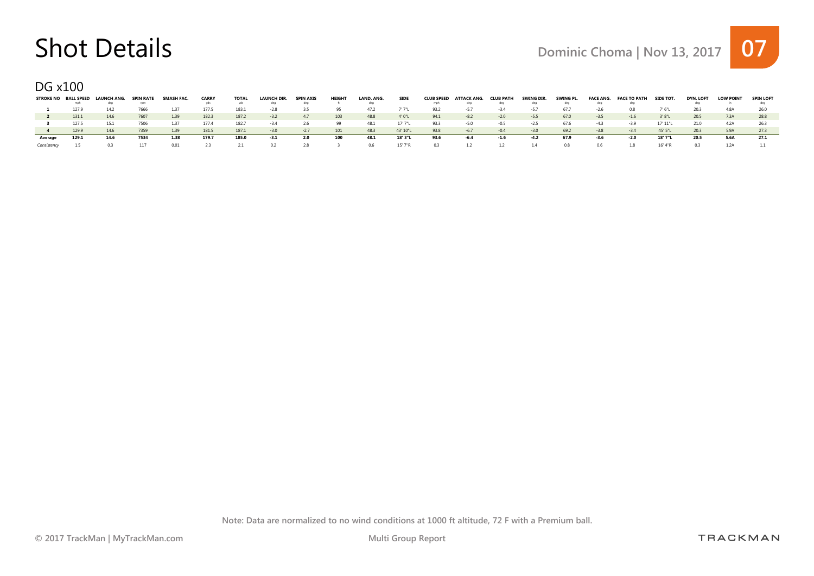DG x100

|         | mph   | STROKE NO BALL SPEED LAUNCH ANG.<br>dea | <b>SPIN RATE</b><br>rnm | SMASH FAC. | <b>CARRY</b> | TOTAL<br>vds | <b>LAUNCH DIR.</b> | <b>SPIN AXIS</b><br>dea | <b>HEIGHT</b> | LAND, ANG. | <b>SIDE</b> | <b>CLUB SPEED</b><br>mph | ATTACK ANG.<br>dea | <b>CLUB PATH</b><br>dea | SWING DIR.<br>dea | SWING PL.<br>dea | <b>FACE ANG.</b><br>dea | <b>FACE TO PATH</b> | <b>SIDE TOT.</b> | <b>DYN. LOFT</b> | <b>LOW POINT</b> | <b>SPIN LOFT</b> |
|---------|-------|-----------------------------------------|-------------------------|------------|--------------|--------------|--------------------|-------------------------|---------------|------------|-------------|--------------------------|--------------------|-------------------------|-------------------|------------------|-------------------------|---------------------|------------------|------------------|------------------|------------------|
|         | 127.9 | 14.2                                    |                         | 1.37       | 177.5        | 183.1        | $-2.8$             |                         |               | 472        | ' 7"I       | 93.2                     | $-57$              | $-3.4$                  | $-57$             | 677              | $-2.6$                  | 0.8                 | 7' 6"I           | 20.3             | 4.8A             |                  |
|         | 131.1 | 14.6                                    | 7607                    | 1.39       | 182.3        | 187.2        | $-3.2$             | 47                      | 103           | 48.8       | 4' 0"L      | 94.1                     | $-8.2$             | $-2.0$                  | $-5.5$            | 67.0             | $-3.5$                  | $-1.6$              | 3'8"L            | 20.5             | 7.3A             | 28.8             |
|         | 127.5 | 15.1                                    |                         | 1.37       | 1774         | 182.7        | $-3.4$             | 2.6                     |               | 48.1       | $17'$ $7"1$ | 93.3                     | $-5.0$             | $-0.5$                  | $-2.5$            | 67.6             | $-4.3$                  | $-3.9$              | 17' 11"L         | 21.0             | 4.2A             |                  |
|         | 129.9 | 14.6                                    | 7359                    | 1.39       | 181.5        | 187.1        | $-3.0$             | $-27$                   | 101           | 48.3       | 43' 10"L    | 93.8                     | $-6.7$             | $-0.4$                  | $-3.0$            | 69.2             | $-3.8$                  | $-34$               | 45' 5"L          | 20.3             | 5.9A             | 27.3             |
| Average | 129.1 | 14.6                                    | 7534                    | 1.38       | 179.7        | 185.0        | -3.1               | 2.0                     | 100           | 48.1       | 18' 3"L     | 93.6                     | $-6.4$             | -1.6                    | $-4.2$            | 67.9             | $-3.6$                  | $-2.0$              | 18' 7"L          | 20.5             | 5.6A             | 27.1             |
|         |       |                                         |                         |            |              |              |                    | 28                      |               | 0.6.       | $15'$ 7"R   | 03                       |                    |                         |                   |                  |                         |                     |                  |                  |                  |                  |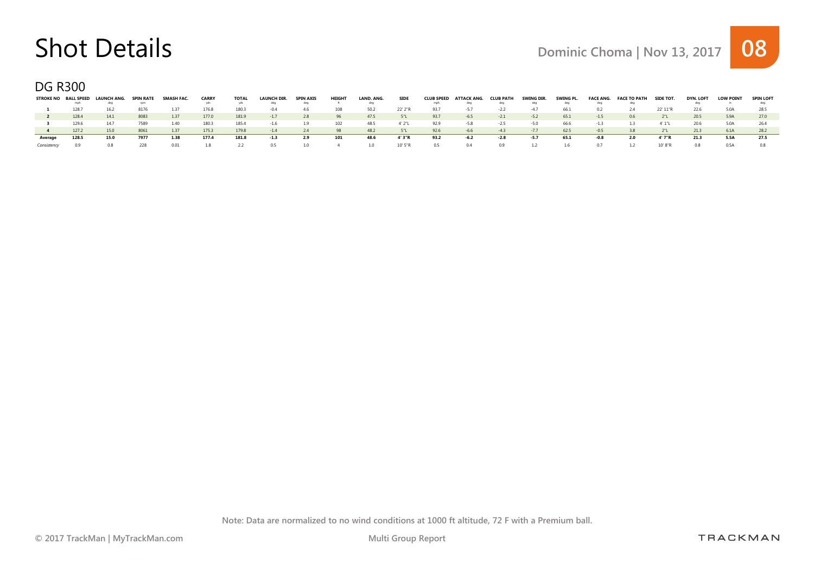DG R300

| <b>STROKE NO</b> | <b>BALL SPEED</b><br>mph | LAUNCH ANG.<br>dea | SPIN RATE<br>rom | SMASH FAC | <b>CARRY</b> | <b>TOTAL</b><br>vds | <b>LAUNCH DIR.</b><br>dec | <b>SPIN AXIS</b><br>dea | <b>HEIGHT</b> | LAND, ANG. | <b>SIDE</b> | <b>CLUB SPEED</b><br>mph | ATTACK ANG.<br>dea | <b>CLUB PAT</b><br>dea | SWING DIR<br>dec | SWING PL.<br>dea | <b>FACE ANG.</b><br>dea | <b>FACE TO PATH</b> | SIDE TOT. | DYN. LOFT | <b>LOW POINT</b> | <b>SPIN LOFT</b> |
|------------------|--------------------------|--------------------|------------------|-----------|--------------|---------------------|---------------------------|-------------------------|---------------|------------|-------------|--------------------------|--------------------|------------------------|------------------|------------------|-------------------------|---------------------|-----------|-----------|------------------|------------------|
|                  | 128.7                    | 16.2               | 8176             | 1.37      | 176.8        | 180.3               | $-0.4$                    | 46                      | 108           | 50.2       | 22' 2"R     | 93.7                     | $-5.7$             | $-2.2$                 | $-47$            | 66.1             |                         | 24                  | 22' 11"R  | 22.6      | 5.0A             | 28.5             |
|                  | 128.4                    | 14.1               | 8083             | 1.37      | 177.0        | 181.9               | $-1.7$                    | 2.8                     | 96            | 47.5       | 51          | 93.7                     | $-6.5$             | $-2.1$                 | $-5.2$           | 65.1             | $-1.5$                  | 0.6                 |           | 20.5      | 5.9A             | 27.0             |
|                  | 129.6                    | 14.7               | 7589.            | 1.40      | 180.3        | 185.4               | $-1.6$                    | 1.9                     | 102           | 48.5       | 4' 2"L      | 92.9                     | $-5.8$             | $-2.5$                 | $-5.0$           | 66.6             | $-1.3$                  | 1.3                 | 4' 1"L    | 20.6      | 5.0A             |                  |
|                  | 127.2                    | 15.0               | 8061             | 1.37      | 175.3        | 179.8               | $-14$                     | 2.4                     | 98            | 48.2       | 5"L         | 92.6                     | $-6.6$             | $-43$                  | $-7.7$           | 62.5             | $-0.5$                  | 38                  |           | 21.3      | 6.1A             | 28.2             |
| Average          | 128.5                    | 15.0               | 7977             | 1.38      | 177.4        | 181.8               | -1.3                      | 2.9                     | 101           | 48.6       | 4' 3"R      | 93.2                     | -6.2               | -2.8                   | $-5.7$           | 65.1             | -0.8                    | 2.0                 | 4' 7"R    | 21.3      | 5.5A             | 27.5             |
|                  |                          |                    |                  |           |              |                     |                           | າ ດ                     |               |            | 10'5"R      | 0.5                      |                    |                        |                  |                  |                         |                     |           | 0.8       | 0 5 A            |                  |